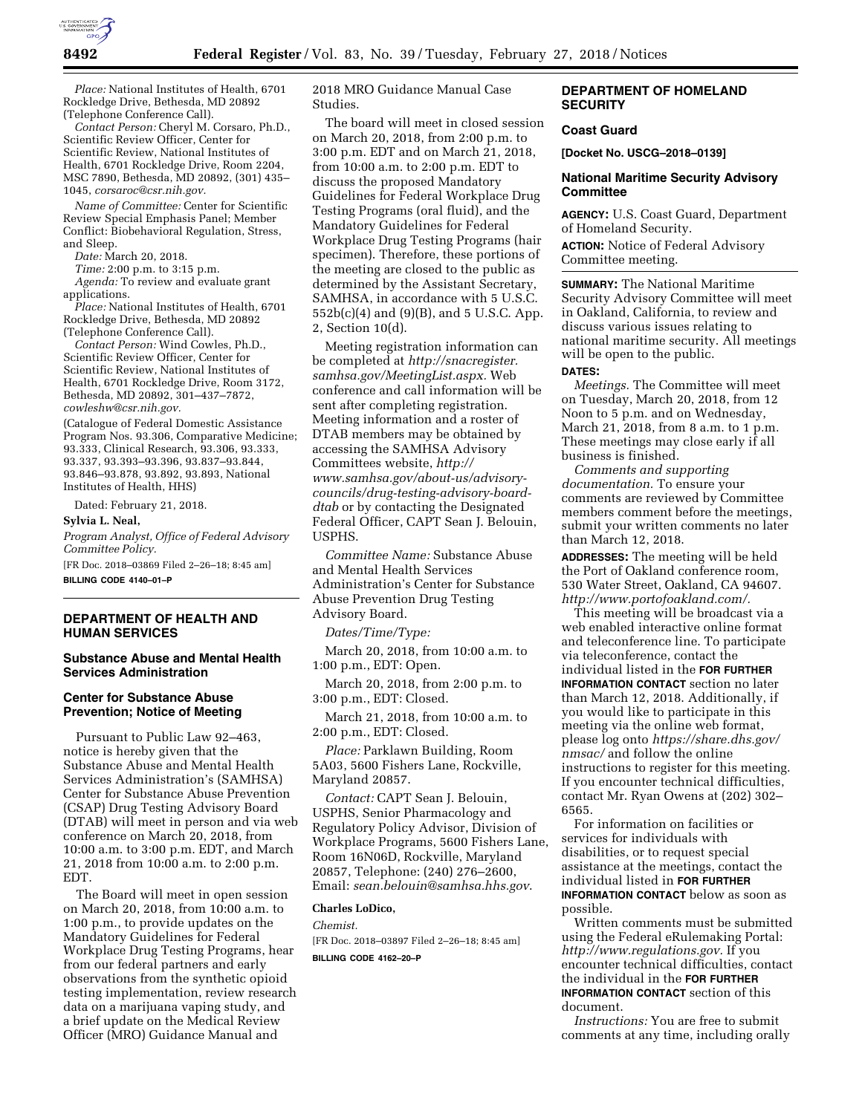

*Place:* National Institutes of Health, 6701 Rockledge Drive, Bethesda, MD 20892 (Telephone Conference Call).

*Contact Person:* Cheryl M. Corsaro, Ph.D., Scientific Review Officer, Center for Scientific Review, National Institutes of Health, 6701 Rockledge Drive, Room 2204, MSC 7890, Bethesda, MD 20892, (301) 435– 1045, *[corsaroc@csr.nih.gov.](mailto:corsaroc@csr.nih.gov)* 

*Name of Committee:* Center for Scientific Review Special Emphasis Panel; Member Conflict: Biobehavioral Regulation, Stress, and Sleep.

*Date:* March 20, 2018.

*Time:* 2:00 p.m. to 3:15 p.m.

*Agenda:* To review and evaluate grant applications.

*Place:* National Institutes of Health, 6701 Rockledge Drive, Bethesda, MD 20892 (Telephone Conference Call).

*Contact Person:* Wind Cowles, Ph.D., Scientific Review Officer, Center for Scientific Review, National Institutes of Health, 6701 Rockledge Drive, Room 3172, Bethesda, MD 20892, 301–437–7872, *[cowleshw@csr.nih.gov.](mailto:cowleshw@csr.nih.gov)* 

(Catalogue of Federal Domestic Assistance Program Nos. 93.306, Comparative Medicine; 93.333, Clinical Research, 93.306, 93.333, 93.337, 93.393–93.396, 93.837–93.844, 93.846–93.878, 93.892, 93.893, National Institutes of Health, HHS)

Dated: February 21, 2018.

**Sylvia L. Neal,** 

*Program Analyst, Office of Federal Advisory Committee Policy.* 

[FR Doc. 2018–03869 Filed 2–26–18; 8:45 am] **BILLING CODE 4140–01–P** 

### **DEPARTMENT OF HEALTH AND HUMAN SERVICES**

# **Substance Abuse and Mental Health Services Administration**

### **Center for Substance Abuse Prevention; Notice of Meeting**

Pursuant to Public Law 92–463, notice is hereby given that the Substance Abuse and Mental Health Services Administration's (SAMHSA) Center for Substance Abuse Prevention (CSAP) Drug Testing Advisory Board (DTAB) will meet in person and via web conference on March 20, 2018, from 10:00 a.m. to 3:00 p.m. EDT, and March 21, 2018 from 10:00 a.m. to 2:00 p.m. EDT.

The Board will meet in open session on March 20, 2018, from 10:00 a.m. to 1:00 p.m., to provide updates on the Mandatory Guidelines for Federal Workplace Drug Testing Programs, hear from our federal partners and early observations from the synthetic opioid testing implementation, review research data on a marijuana vaping study, and a brief update on the Medical Review Officer (MRO) Guidance Manual and

2018 MRO Guidance Manual Case Studies.

The board will meet in closed session on March 20, 2018, from 2:00 p.m. to 3:00 p.m. EDT and on March 21, 2018, from 10:00 a.m. to 2:00 p.m. EDT to discuss the proposed Mandatory Guidelines for Federal Workplace Drug Testing Programs (oral fluid), and the Mandatory Guidelines for Federal Workplace Drug Testing Programs (hair specimen). Therefore, these portions of the meeting are closed to the public as determined by the Assistant Secretary, SAMHSA, in accordance with 5 U.S.C. 552b(c)(4) and (9)(B), and 5 U.S.C. App. 2, Section 10(d).

Meeting registration information can be completed at *[http://snacregister.](http://snacregister.samhsa.gov/MeetingList.aspx) [samhsa.gov/MeetingList.aspx.](http://snacregister.samhsa.gov/MeetingList.aspx)* Web conference and call information will be sent after completing registration. Meeting information and a roster of DTAB members may be obtained by accessing the SAMHSA Advisory Committees website, *[http://](http://www.samhsa.gov/about-us/advisory-councils/drug-testing-advisory-board-dtab) [www.samhsa.gov/about-us/advisory](http://www.samhsa.gov/about-us/advisory-councils/drug-testing-advisory-board-dtab)[councils/drug-testing-advisory-board](http://www.samhsa.gov/about-us/advisory-councils/drug-testing-advisory-board-dtab)[dtab](http://www.samhsa.gov/about-us/advisory-councils/drug-testing-advisory-board-dtab)* or by contacting the Designated Federal Officer, CAPT Sean J. Belouin, USPHS.

*Committee Name:* Substance Abuse and Mental Health Services Administration's Center for Substance Abuse Prevention Drug Testing Advisory Board.

*Dates/Time/Type:* 

March 20, 2018, from 10:00 a.m. to 1:00 p.m., EDT: Open.

March 20, 2018, from 2:00 p.m. to 3:00 p.m., EDT: Closed.

March 21, 2018, from 10:00 a.m. to 2:00 p.m., EDT: Closed.

*Place:* Parklawn Building, Room 5A03, 5600 Fishers Lane, Rockville, Maryland 20857.

*Contact:* CAPT Sean J. Belouin, USPHS, Senior Pharmacology and Regulatory Policy Advisor, Division of Workplace Programs, 5600 Fishers Lane, Room 16N06D, Rockville, Maryland 20857, Telephone: (240) 276–2600, Email: *[sean.belouin@samhsa.hhs.gov](mailto:sean.belouin@samhsa.hhs.gov)*.

#### **Charles LoDico,**

*Chemist.*  [FR Doc. 2018–03897 Filed 2–26–18; 8:45 am] **BILLING CODE 4162–20–P** 

### **DEPARTMENT OF HOMELAND SECURITY**

### **Coast Guard**

**[Docket No. USCG–2018–0139]** 

## **National Maritime Security Advisory Committee**

**AGENCY:** U.S. Coast Guard, Department of Homeland Security.

**ACTION:** Notice of Federal Advisory Committee meeting.

**SUMMARY:** The National Maritime Security Advisory Committee will meet in Oakland, California, to review and discuss various issues relating to national maritime security. All meetings will be open to the public.

#### **DATES:**

*Meetings.* The Committee will meet on Tuesday, March 20, 2018, from 12 Noon to 5 p.m. and on Wednesday, March 21, 2018, from 8 a.m. to 1 p.m. These meetings may close early if all business is finished.

*Comments and supporting documentation.* To ensure your comments are reviewed by Committee members comment before the meetings, submit your written comments no later than March 12, 2018.

**ADDRESSES:** The meeting will be held the Port of Oakland conference room, 530 Water Street, Oakland, CA 94607. *[http://www.portofoakland.com/.](http://www.portofoakland.com/)* 

This meeting will be broadcast via a web enabled interactive online format and teleconference line. To participate via teleconference, contact the individual listed in the **FOR FURTHER INFORMATION CONTACT** section no later than March 12, 2018. Additionally, if you would like to participate in this meeting via the online web format, please log onto *[https://share.dhs.gov/](https://share.dhs.gov/nmsac/) [nmsac/](https://share.dhs.gov/nmsac/)* and follow the online instructions to register for this meeting. If you encounter technical difficulties, contact Mr. Ryan Owens at (202) 302– 6565.

For information on facilities or services for individuals with disabilities, or to request special assistance at the meetings, contact the individual listed in **FOR FURTHER INFORMATION CONTACT** below as soon as possible.

Written comments must be submitted using the Federal eRulemaking Portal: *[http://www.regulations.gov.](http://www.regulations.gov)* If you encounter technical difficulties, contact the individual in the **FOR FURTHER INFORMATION CONTACT** section of this document.

*Instructions:* You are free to submit comments at any time, including orally